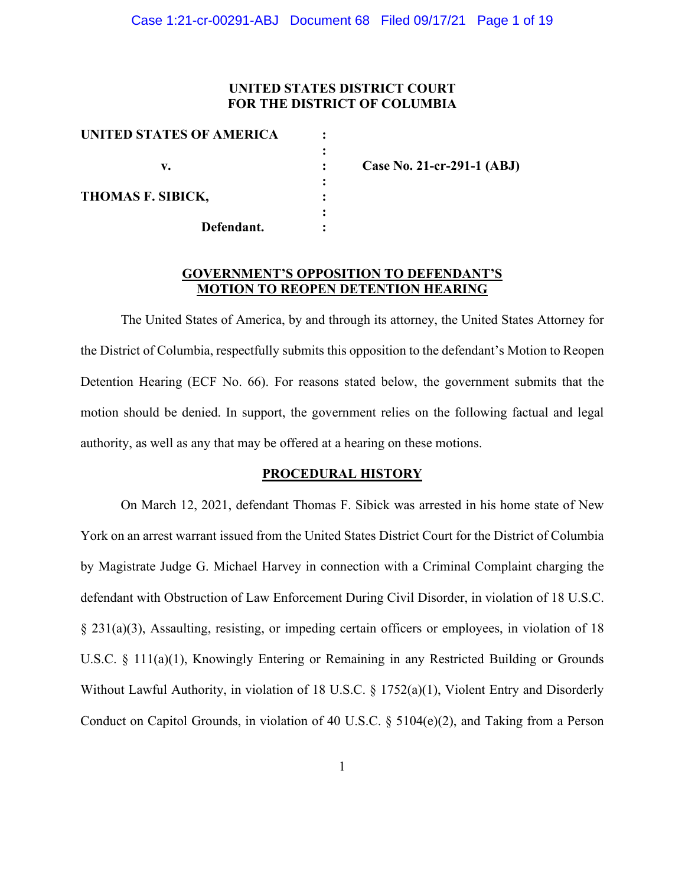### **UNITED STATES DISTRICT COURT FOR THE DISTRICT OF COLUMBIA**

| UNITED STATES OF AMERICA |  |      |
|--------------------------|--|------|
|                          |  |      |
| v.                       |  | Caso |
|                          |  |      |
| THOMAS F. SIBICK,        |  |      |
|                          |  |      |
| Defendant.               |  |      |
|                          |  |      |

**v. : Case No. 21-cr-291-1 (ABJ)**

#### **GOVERNMENT'S OPPOSITION TO DEFENDANT'S MOTION TO REOPEN DETENTION HEARING**

The United States of America, by and through its attorney, the United States Attorney for the District of Columbia, respectfully submits this opposition to the defendant's Motion to Reopen Detention Hearing (ECF No. 66). For reasons stated below, the government submits that the motion should be denied. In support, the government relies on the following factual and legal authority, as well as any that may be offered at a hearing on these motions.

#### **PROCEDURAL HISTORY**

On March 12, 2021, defendant Thomas F. Sibick was arrested in his home state of New York on an arrest warrant issued from the United States District Court for the District of Columbia by Magistrate Judge G. Michael Harvey in connection with a Criminal Complaint charging the defendant with Obstruction of Law Enforcement During Civil Disorder, in violation of 18 U.S.C. § 231(a)(3), Assaulting, resisting, or impeding certain officers or employees, in violation of 18 U.S.C. § 111(a)(1), Knowingly Entering or Remaining in any Restricted Building or Grounds Without Lawful Authority, in violation of 18 U.S.C. § 1752(a)(1), Violent Entry and Disorderly Conduct on Capitol Grounds, in violation of 40 U.S.C. § 5104(e)(2), and Taking from a Person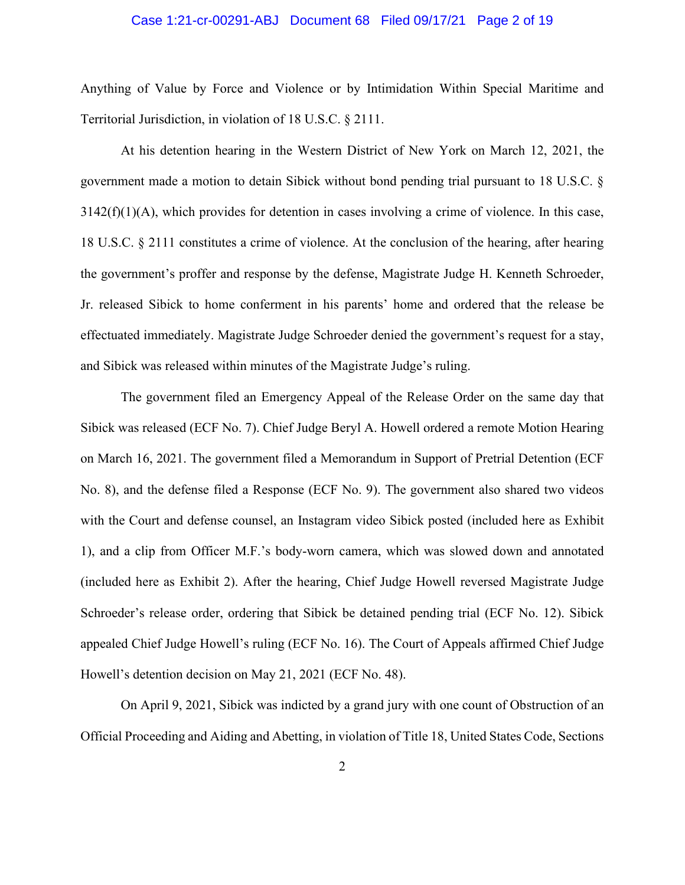#### Case 1:21-cr-00291-ABJ Document 68 Filed 09/17/21 Page 2 of 19

Anything of Value by Force and Violence or by Intimidation Within Special Maritime and Territorial Jurisdiction, in violation of 18 U.S.C. § 2111.

At his detention hearing in the Western District of New York on March 12, 2021, the government made a motion to detain Sibick without bond pending trial pursuant to 18 U.S.C. §  $3142(f)(1)(A)$ , which provides for detention in cases involving a crime of violence. In this case, 18 U.S.C. § 2111 constitutes a crime of violence. At the conclusion of the hearing, after hearing the government's proffer and response by the defense, Magistrate Judge H. Kenneth Schroeder, Jr. released Sibick to home conferment in his parents' home and ordered that the release be effectuated immediately. Magistrate Judge Schroeder denied the government's request for a stay, and Sibick was released within minutes of the Magistrate Judge's ruling.

The government filed an Emergency Appeal of the Release Order on the same day that Sibick was released (ECF No. 7). Chief Judge Beryl A. Howell ordered a remote Motion Hearing on March 16, 2021. The government filed a Memorandum in Support of Pretrial Detention (ECF No. 8), and the defense filed a Response (ECF No. 9). The government also shared two videos with the Court and defense counsel, an Instagram video Sibick posted (included here as Exhibit 1), and a clip from Officer M.F.'s body-worn camera, which was slowed down and annotated (included here as Exhibit 2). After the hearing, Chief Judge Howell reversed Magistrate Judge Schroeder's release order, ordering that Sibick be detained pending trial (ECF No. 12). Sibick appealed Chief Judge Howell's ruling (ECF No. 16). The Court of Appeals affirmed Chief Judge Howell's detention decision on May 21, 2021 (ECF No. 48).

On April 9, 2021, Sibick was indicted by a grand jury with one count of Obstruction of an Official Proceeding and Aiding and Abetting, in violation of Title 18, United States Code, Sections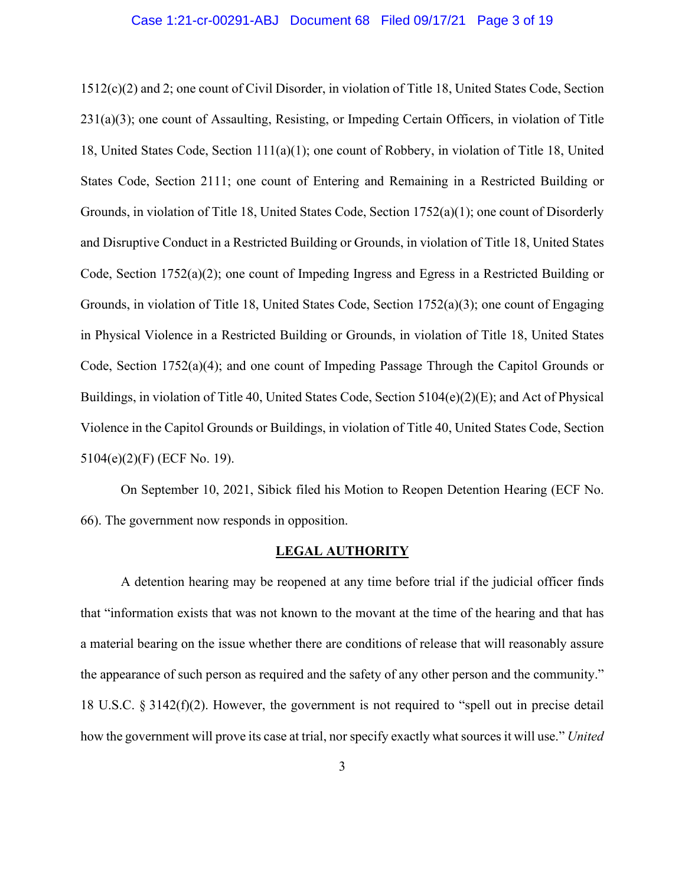#### Case 1:21-cr-00291-ABJ Document 68 Filed 09/17/21 Page 3 of 19

1512(c)(2) and 2; one count of Civil Disorder, in violation of Title 18, United States Code, Section 231(a)(3); one count of Assaulting, Resisting, or Impeding Certain Officers, in violation of Title 18, United States Code, Section 111(a)(1); one count of Robbery, in violation of Title 18, United States Code, Section 2111; one count of Entering and Remaining in a Restricted Building or Grounds, in violation of Title 18, United States Code, Section 1752(a)(1); one count of Disorderly and Disruptive Conduct in a Restricted Building or Grounds, in violation of Title 18, United States Code, Section 1752(a)(2); one count of Impeding Ingress and Egress in a Restricted Building or Grounds, in violation of Title 18, United States Code, Section 1752(a)(3); one count of Engaging in Physical Violence in a Restricted Building or Grounds, in violation of Title 18, United States Code, Section 1752(a)(4); and one count of Impeding Passage Through the Capitol Grounds or Buildings, in violation of Title 40, United States Code, Section 5104(e)(2)(E); and Act of Physical Violence in the Capitol Grounds or Buildings, in violation of Title 40, United States Code, Section 5104(e)(2)(F) (ECF No. 19).

On September 10, 2021, Sibick filed his Motion to Reopen Detention Hearing (ECF No. 66). The government now responds in opposition.

#### **LEGAL AUTHORITY**

A detention hearing may be reopened at any time before trial if the judicial officer finds that "information exists that was not known to the movant at the time of the hearing and that has a material bearing on the issue whether there are conditions of release that will reasonably assure the appearance of such person as required and the safety of any other person and the community." 18 U.S.C. § 3142(f)(2). However, the government is not required to "spell out in precise detail how the government will prove its case at trial, nor specify exactly what sources it will use." *United*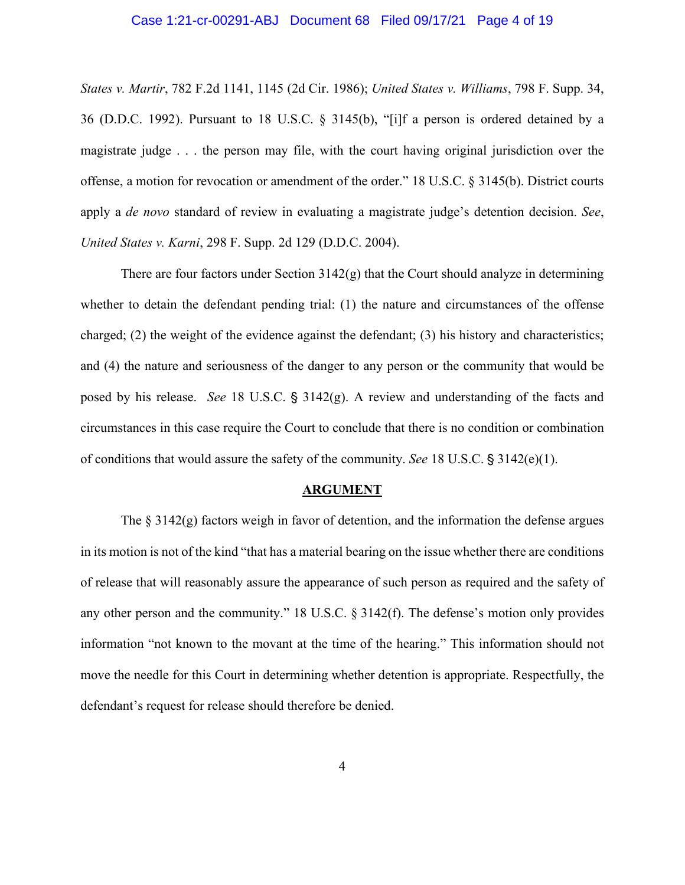#### Case 1:21-cr-00291-ABJ Document 68 Filed 09/17/21 Page 4 of 19

*States v. Martir*, 782 F.2d 1141, 1145 (2d Cir. 1986); *United States v. Williams*, 798 F. Supp. 34, 36 (D.D.C. 1992). Pursuant to 18 U.S.C. § 3145(b), "[i]f a person is ordered detained by a magistrate judge . . . the person may file, with the court having original jurisdiction over the offense, a motion for revocation or amendment of the order." 18 U.S.C. § 3145(b). District courts apply a *de novo* standard of review in evaluating a magistrate judge's detention decision. *See*, *United States v. Karni*, 298 F. Supp. 2d 129 (D.D.C. 2004).

There are four factors under Section  $3142(g)$  that the Court should analyze in determining whether to detain the defendant pending trial: (1) the nature and circumstances of the offense charged; (2) the weight of the evidence against the defendant; (3) his history and characteristics; and (4) the nature and seriousness of the danger to any person or the community that would be posed by his release. *See* 18 U.S.C. § 3142(g). A review and understanding of the facts and circumstances in this case require the Court to conclude that there is no condition or combination of conditions that would assure the safety of the community. *See* 18 U.S.C.  $\frac{5}{3}$  3142(e)(1).

#### **ARGUMENT**

The  $\S 3142(g)$  factors weigh in favor of detention, and the information the defense argues in its motion is not of the kind "that has a material bearing on the issue whether there are conditions of release that will reasonably assure the appearance of such person as required and the safety of any other person and the community." 18 U.S.C. § 3142(f). The defense's motion only provides information "not known to the movant at the time of the hearing." This information should not move the needle for this Court in determining whether detention is appropriate. Respectfully, the defendant's request for release should therefore be denied.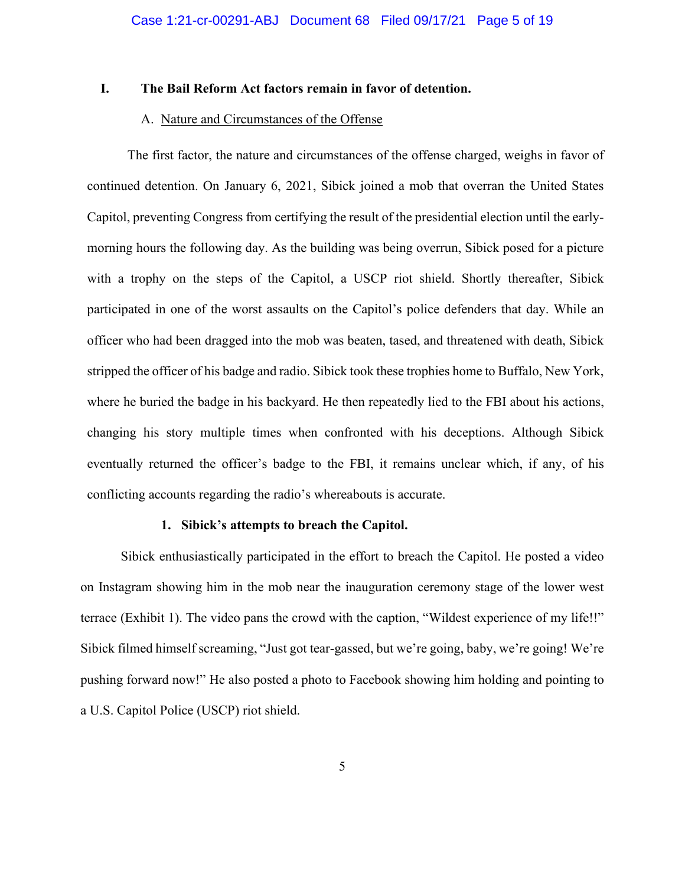### **I. The Bail Reform Act factors remain in favor of detention.**

#### A. Nature and Circumstances of the Offense

The first factor, the nature and circumstances of the offense charged, weighs in favor of continued detention. On January 6, 2021, Sibick joined a mob that overran the United States Capitol, preventing Congress from certifying the result of the presidential election until the earlymorning hours the following day. As the building was being overrun, Sibick posed for a picture with a trophy on the steps of the Capitol, a USCP riot shield. Shortly thereafter, Sibick participated in one of the worst assaults on the Capitol's police defenders that day. While an officer who had been dragged into the mob was beaten, tased, and threatened with death, Sibick stripped the officer of his badge and radio. Sibick took these trophies home to Buffalo, New York, where he buried the badge in his backyard. He then repeatedly lied to the FBI about his actions, changing his story multiple times when confronted with his deceptions. Although Sibick eventually returned the officer's badge to the FBI, it remains unclear which, if any, of his conflicting accounts regarding the radio's whereabouts is accurate.

#### **1. Sibick's attempts to breach the Capitol.**

Sibick enthusiastically participated in the effort to breach the Capitol. He posted a video on Instagram showing him in the mob near the inauguration ceremony stage of the lower west terrace (Exhibit 1). The video pans the crowd with the caption, "Wildest experience of my life!!" Sibick filmed himself screaming, "Just got tear-gassed, but we're going, baby, we're going! We're pushing forward now!" He also posted a photo to Facebook showing him holding and pointing to a U.S. Capitol Police (USCP) riot shield.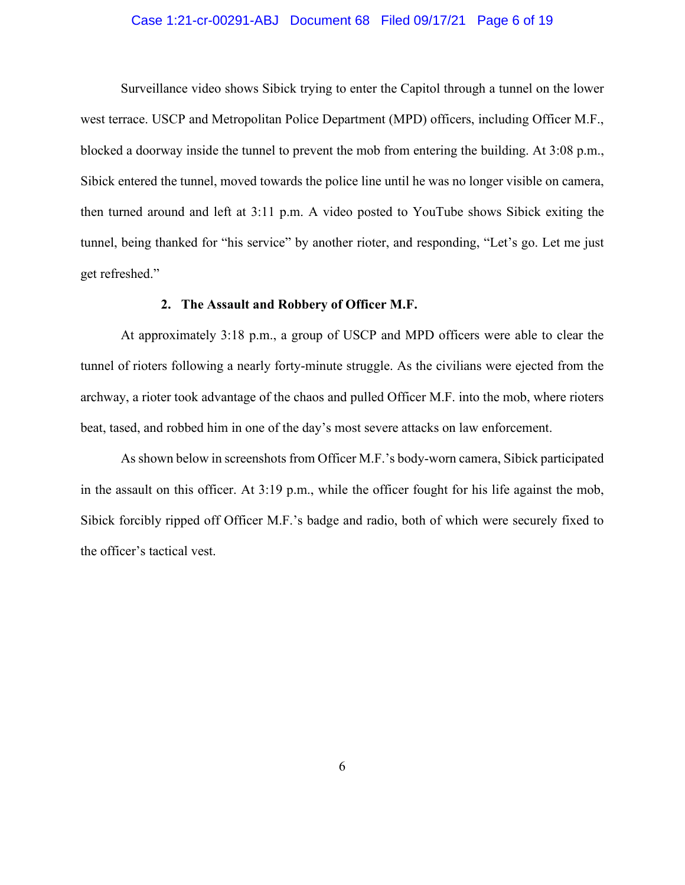#### Case 1:21-cr-00291-ABJ Document 68 Filed 09/17/21 Page 6 of 19

Surveillance video shows Sibick trying to enter the Capitol through a tunnel on the lower west terrace. USCP and Metropolitan Police Department (MPD) officers, including Officer M.F., blocked a doorway inside the tunnel to prevent the mob from entering the building. At 3:08 p.m., Sibick entered the tunnel, moved towards the police line until he was no longer visible on camera, then turned around and left at 3:11 p.m. A video posted to YouTube shows Sibick exiting the tunnel, being thanked for "his service" by another rioter, and responding, "Let's go. Let me just get refreshed."

#### **2. The Assault and Robbery of Officer M.F.**

At approximately 3:18 p.m., a group of USCP and MPD officers were able to clear the tunnel of rioters following a nearly forty-minute struggle. As the civilians were ejected from the archway, a rioter took advantage of the chaos and pulled Officer M.F. into the mob, where rioters beat, tased, and robbed him in one of the day's most severe attacks on law enforcement.

As shown below in screenshots from Officer M.F.'s body-worn camera, Sibick participated in the assault on this officer. At 3:19 p.m., while the officer fought for his life against the mob, Sibick forcibly ripped off Officer M.F.'s badge and radio, both of which were securely fixed to the officer's tactical vest.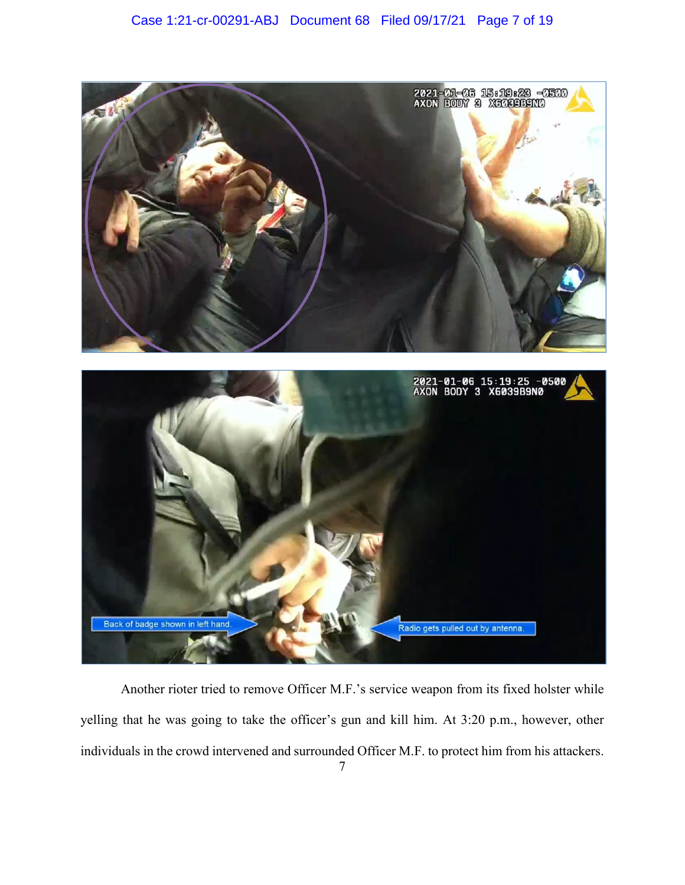



Another rioter tried to remove Officer M.F.'s service weapon from its fixed holster while yelling that he was going to take the officer's gun and kill him. At 3:20 p.m., however, other individuals in the crowd intervened and surrounded Officer M.F. to protect him from his attackers.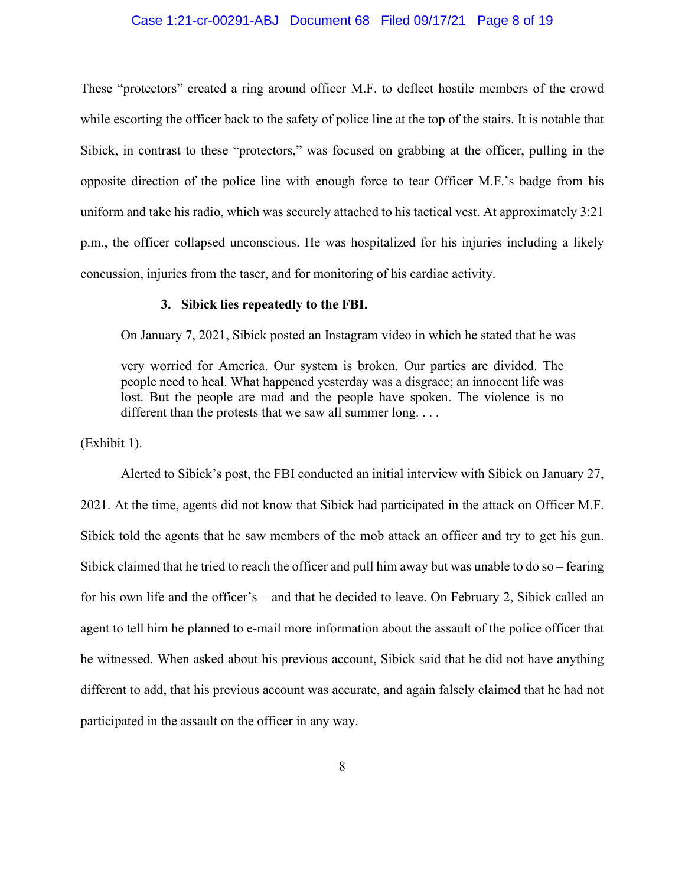#### Case 1:21-cr-00291-ABJ Document 68 Filed 09/17/21 Page 8 of 19

These "protectors" created a ring around officer M.F. to deflect hostile members of the crowd while escorting the officer back to the safety of police line at the top of the stairs. It is notable that Sibick, in contrast to these "protectors," was focused on grabbing at the officer, pulling in the opposite direction of the police line with enough force to tear Officer M.F.'s badge from his uniform and take his radio, which was securely attached to his tactical vest. At approximately 3:21 p.m., the officer collapsed unconscious. He was hospitalized for his injuries including a likely concussion, injuries from the taser, and for monitoring of his cardiac activity.

#### **3. Sibick lies repeatedly to the FBI.**

On January 7, 2021, Sibick posted an Instagram video in which he stated that he was

very worried for America. Our system is broken. Our parties are divided. The people need to heal. What happened yesterday was a disgrace; an innocent life was lost. But the people are mad and the people have spoken. The violence is no different than the protests that we saw all summer long....

(Exhibit 1).

Alerted to Sibick's post, the FBI conducted an initial interview with Sibick on January 27, 2021. At the time, agents did not know that Sibick had participated in the attack on Officer M.F. Sibick told the agents that he saw members of the mob attack an officer and try to get his gun. Sibick claimed that he tried to reach the officer and pull him away but was unable to do so – fearing for his own life and the officer's – and that he decided to leave. On February 2, Sibick called an agent to tell him he planned to e-mail more information about the assault of the police officer that he witnessed. When asked about his previous account, Sibick said that he did not have anything different to add, that his previous account was accurate, and again falsely claimed that he had not participated in the assault on the officer in any way.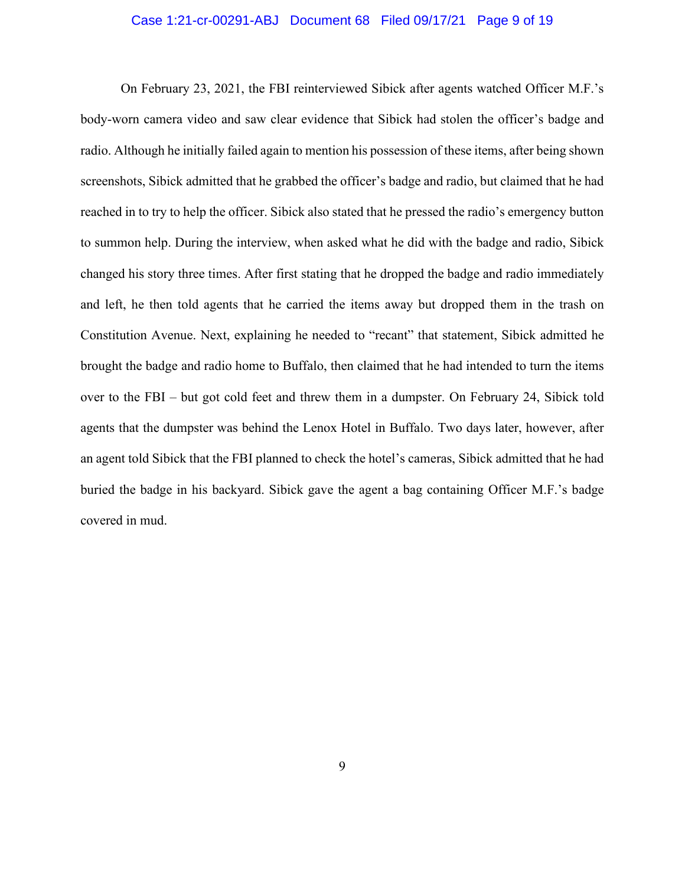#### Case 1:21-cr-00291-ABJ Document 68 Filed 09/17/21 Page 9 of 19

On February 23, 2021, the FBI reinterviewed Sibick after agents watched Officer M.F.'s body-worn camera video and saw clear evidence that Sibick had stolen the officer's badge and radio. Although he initially failed again to mention his possession of these items, after being shown screenshots, Sibick admitted that he grabbed the officer's badge and radio, but claimed that he had reached in to try to help the officer. Sibick also stated that he pressed the radio's emergency button to summon help. During the interview, when asked what he did with the badge and radio, Sibick changed his story three times. After first stating that he dropped the badge and radio immediately and left, he then told agents that he carried the items away but dropped them in the trash on Constitution Avenue. Next, explaining he needed to "recant" that statement, Sibick admitted he brought the badge and radio home to Buffalo, then claimed that he had intended to turn the items over to the FBI – but got cold feet and threw them in a dumpster. On February 24, Sibick told agents that the dumpster was behind the Lenox Hotel in Buffalo. Two days later, however, after an agent told Sibick that the FBI planned to check the hotel's cameras, Sibick admitted that he had buried the badge in his backyard. Sibick gave the agent a bag containing Officer M.F.'s badge covered in mud.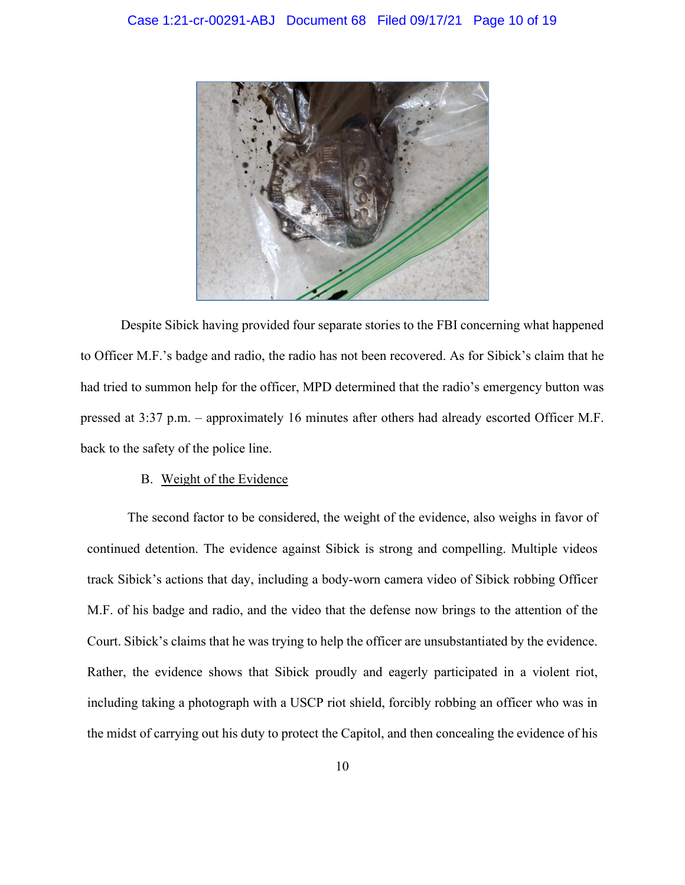

Despite Sibick having provided four separate stories to the FBI concerning what happened to Officer M.F.'s badge and radio, the radio has not been recovered. As for Sibick's claim that he had tried to summon help for the officer, MPD determined that the radio's emergency button was pressed at 3:37 p.m. – approximately 16 minutes after others had already escorted Officer M.F. back to the safety of the police line.

### B. Weight of the Evidence

The second factor to be considered, the weight of the evidence, also weighs in favor of continued detention. The evidence against Sibick is strong and compelling. Multiple videos track Sibick's actions that day, including a body-worn camera video of Sibick robbing Officer M.F. of his badge and radio, and the video that the defense now brings to the attention of the Court. Sibick's claims that he was trying to help the officer are unsubstantiated by the evidence. Rather, the evidence shows that Sibick proudly and eagerly participated in a violent riot, including taking a photograph with a USCP riot shield, forcibly robbing an officer who was in the midst of carrying out his duty to protect the Capitol, and then concealing the evidence of his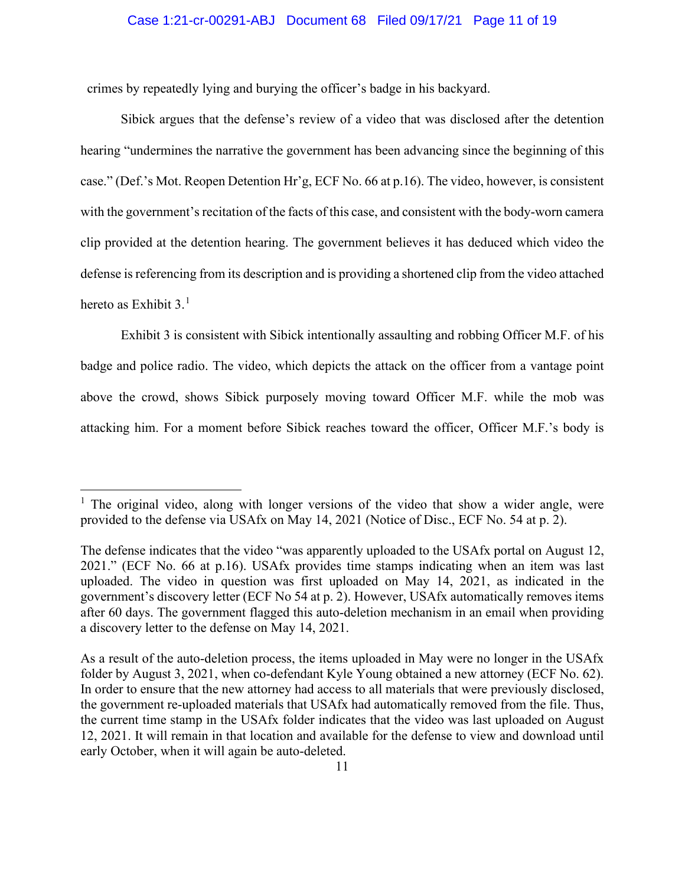crimes by repeatedly lying and burying the officer's badge in his backyard.

Sibick argues that the defense's review of a video that was disclosed after the detention hearing "undermines the narrative the government has been advancing since the beginning of this case." (Def.'s Mot. Reopen Detention Hr'g, ECF No. 66 at p.16). The video, however, is consistent with the government's recitation of the facts of this case, and consistent with the body-worn camera clip provided at the detention hearing. The government believes it has deduced which video the defense is referencing from its description and is providing a shortened clip from the video attached hereto as Exhibit  $3<sup>1</sup>$ 

Exhibit 3 is consistent with Sibick intentionally assaulting and robbing Officer M.F. of his badge and police radio. The video, which depicts the attack on the officer from a vantage point above the crowd, shows Sibick purposely moving toward Officer M.F. while the mob was attacking him. For a moment before Sibick reaches toward the officer, Officer M.F.'s body is

<sup>&</sup>lt;sup>1</sup> The original video, along with longer versions of the video that show a wider angle, were provided to the defense via USAfx on May 14, 2021 (Notice of Disc., ECF No. 54 at p. 2).

The defense indicates that the video "was apparently uploaded to the USAfx portal on August 12, 2021." (ECF No. 66 at p.16). USAfx provides time stamps indicating when an item was last uploaded. The video in question was first uploaded on May 14, 2021, as indicated in the government's discovery letter (ECF No 54 at p. 2). However, USAfx automatically removes items after 60 days. The government flagged this auto-deletion mechanism in an email when providing a discovery letter to the defense on May 14, 2021.

As a result of the auto-deletion process, the items uploaded in May were no longer in the USAfx folder by August 3, 2021, when co-defendant Kyle Young obtained a new attorney (ECF No. 62). In order to ensure that the new attorney had access to all materials that were previously disclosed, the government re-uploaded materials that USAfx had automatically removed from the file. Thus, the current time stamp in the USAfx folder indicates that the video was last uploaded on August 12, 2021. It will remain in that location and available for the defense to view and download until early October, when it will again be auto-deleted.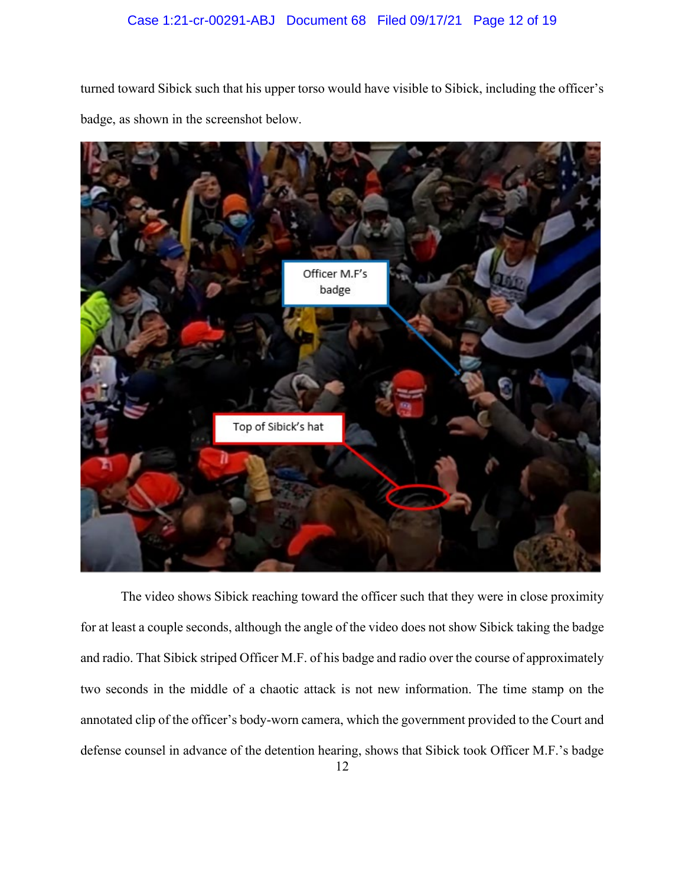## Case 1:21-cr-00291-ABJ Document 68 Filed 09/17/21 Page 12 of 19

turned toward Sibick such that his upper torso would have visible to Sibick, including the officer's badge, as shown in the screenshot below.



The video shows Sibick reaching toward the officer such that they were in close proximity for at least a couple seconds, although the angle of the video does not show Sibick taking the badge and radio. That Sibick striped Officer M.F. of his badge and radio over the course of approximately two seconds in the middle of a chaotic attack is not new information. The time stamp on the annotated clip of the officer's body-worn camera, which the government provided to the Court and defense counsel in advance of the detention hearing, shows that Sibick took Officer M.F.'s badge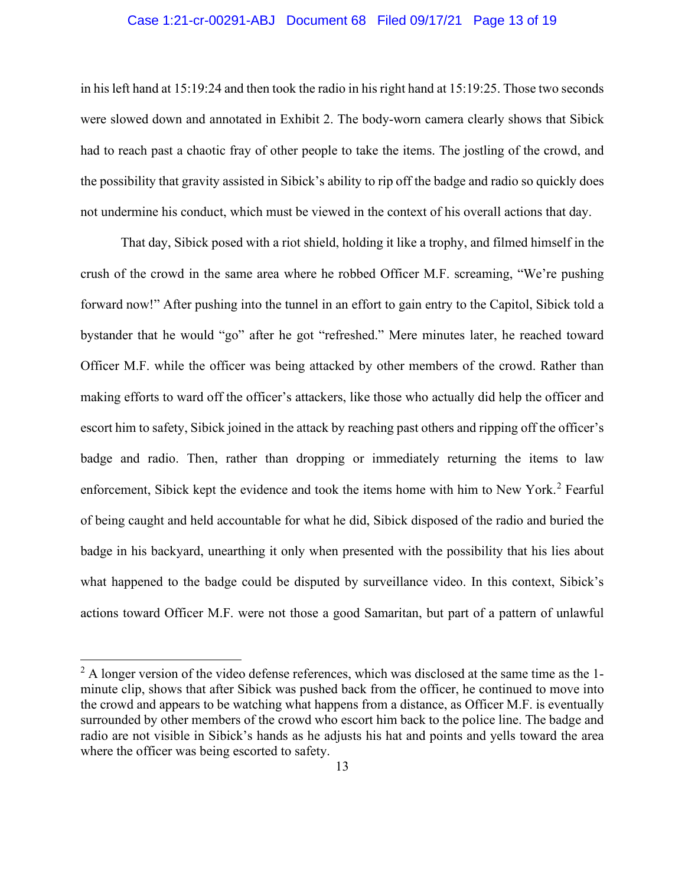#### Case 1:21-cr-00291-ABJ Document 68 Filed 09/17/21 Page 13 of 19

in his left hand at 15:19:24 and then took the radio in his right hand at 15:19:25. Those two seconds were slowed down and annotated in Exhibit 2. The body-worn camera clearly shows that Sibick had to reach past a chaotic fray of other people to take the items. The jostling of the crowd, and the possibility that gravity assisted in Sibick's ability to rip off the badge and radio so quickly does not undermine his conduct, which must be viewed in the context of his overall actions that day.

That day, Sibick posed with a riot shield, holding it like a trophy, and filmed himself in the crush of the crowd in the same area where he robbed Officer M.F. screaming, "We're pushing forward now!" After pushing into the tunnel in an effort to gain entry to the Capitol, Sibick told a bystander that he would "go" after he got "refreshed." Mere minutes later, he reached toward Officer M.F. while the officer was being attacked by other members of the crowd. Rather than making efforts to ward off the officer's attackers, like those who actually did help the officer and escort him to safety, Sibick joined in the attack by reaching past others and ripping off the officer's badge and radio. Then, rather than dropping or immediately returning the items to law enforcement, Sibick kept the evidence and took the items home with him to New York.<sup>2</sup> Fearful of being caught and held accountable for what he did, Sibick disposed of the radio and buried the badge in his backyard, unearthing it only when presented with the possibility that his lies about what happened to the badge could be disputed by surveillance video. In this context, Sibick's actions toward Officer M.F. were not those a good Samaritan, but part of a pattern of unlawful

 $2^2$  A longer version of the video defense references, which was disclosed at the same time as the 1minute clip, shows that after Sibick was pushed back from the officer, he continued to move into the crowd and appears to be watching what happens from a distance, as Officer M.F. is eventually surrounded by other members of the crowd who escort him back to the police line. The badge and radio are not visible in Sibick's hands as he adjusts his hat and points and yells toward the area where the officer was being escorted to safety.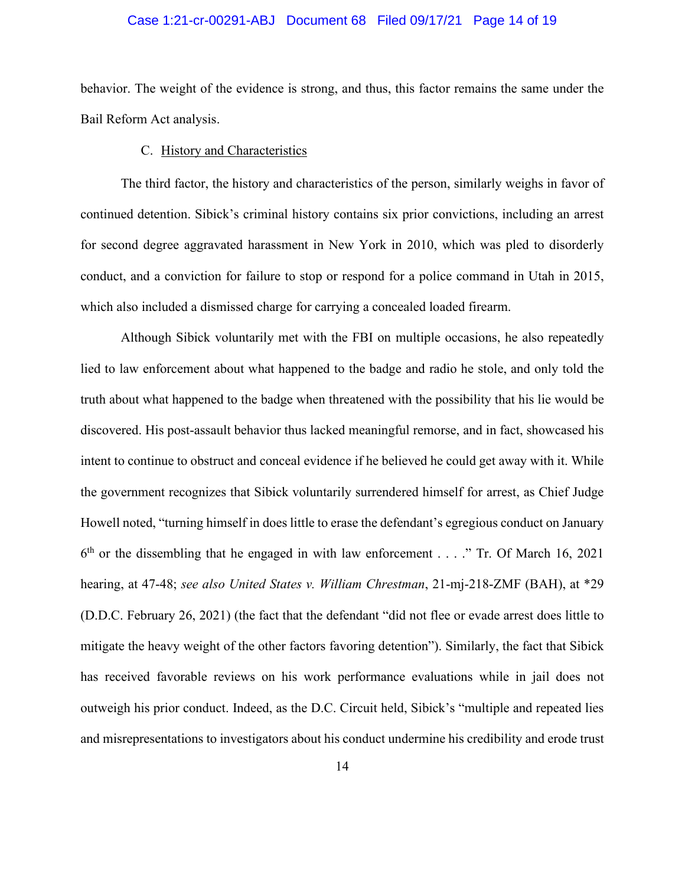#### Case 1:21-cr-00291-ABJ Document 68 Filed 09/17/21 Page 14 of 19

behavior. The weight of the evidence is strong, and thus, this factor remains the same under the Bail Reform Act analysis.

#### C. History and Characteristics

The third factor, the history and characteristics of the person, similarly weighs in favor of continued detention. Sibick's criminal history contains six prior convictions, including an arrest for second degree aggravated harassment in New York in 2010, which was pled to disorderly conduct, and a conviction for failure to stop or respond for a police command in Utah in 2015, which also included a dismissed charge for carrying a concealed loaded firearm.

Although Sibick voluntarily met with the FBI on multiple occasions, he also repeatedly lied to law enforcement about what happened to the badge and radio he stole, and only told the truth about what happened to the badge when threatened with the possibility that his lie would be discovered. His post-assault behavior thus lacked meaningful remorse, and in fact, showcased his intent to continue to obstruct and conceal evidence if he believed he could get away with it. While the government recognizes that Sibick voluntarily surrendered himself for arrest, as Chief Judge Howell noted, "turning himself in does little to erase the defendant's egregious conduct on January  $6<sup>th</sup>$  or the dissembling that he engaged in with law enforcement . . . ." Tr. Of March 16, 2021 hearing, at 47-48; *see also United States v. William Chrestman*, 21-mj-218-ZMF (BAH), at \*29 (D.D.C. February 26, 2021) (the fact that the defendant "did not flee or evade arrest does little to mitigate the heavy weight of the other factors favoring detention"). Similarly, the fact that Sibick has received favorable reviews on his work performance evaluations while in jail does not outweigh his prior conduct. Indeed, as the D.C. Circuit held, Sibick's "multiple and repeated lies and misrepresentations to investigators about his conduct undermine his credibility and erode trust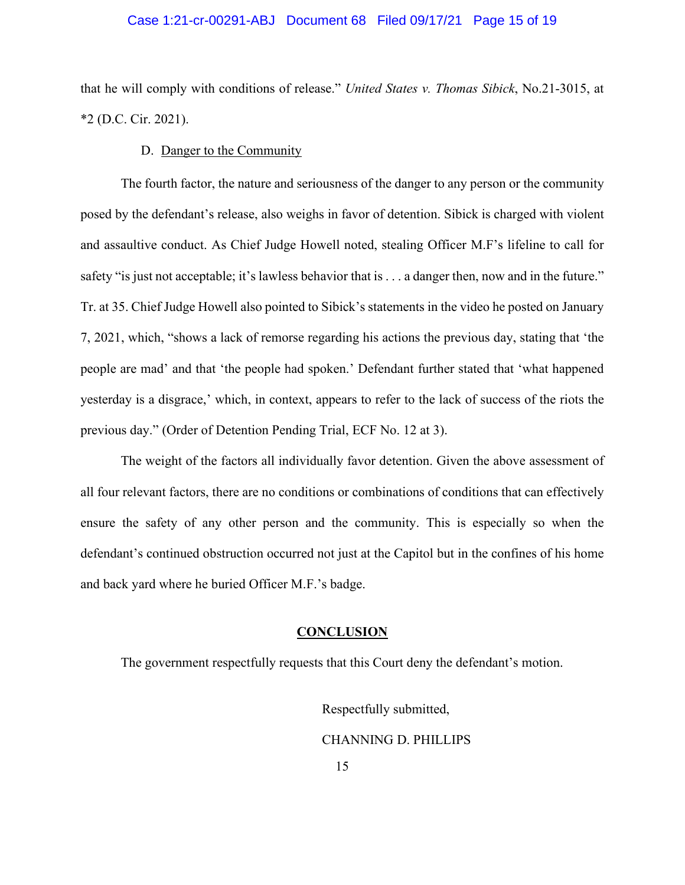#### Case 1:21-cr-00291-ABJ Document 68 Filed 09/17/21 Page 15 of 19

that he will comply with conditions of release." *United States v. Thomas Sibick*, No.21-3015, at \*2 (D.C. Cir. 2021).

#### D. Danger to the Community

The fourth factor, the nature and seriousness of the danger to any person or the community posed by the defendant's release, also weighs in favor of detention. Sibick is charged with violent and assaultive conduct. As Chief Judge Howell noted, stealing Officer M.F's lifeline to call for safety "is just not acceptable; it's lawless behavior that is . . . a danger then, now and in the future." Tr. at 35. Chief Judge Howell also pointed to Sibick's statements in the video he posted on January 7, 2021, which, "shows a lack of remorse regarding his actions the previous day, stating that 'the people are mad' and that 'the people had spoken.' Defendant further stated that 'what happened yesterday is a disgrace,' which, in context, appears to refer to the lack of success of the riots the previous day." (Order of Detention Pending Trial, ECF No. 12 at 3).

The weight of the factors all individually favor detention. Given the above assessment of all four relevant factors, there are no conditions or combinations of conditions that can effectively ensure the safety of any other person and the community. This is especially so when the defendant's continued obstruction occurred not just at the Capitol but in the confines of his home and back yard where he buried Officer M.F.'s badge.

#### **CONCLUSION**

The government respectfully requests that this Court deny the defendant's motion.

Respectfully submitted, CHANNING D. PHILLIPS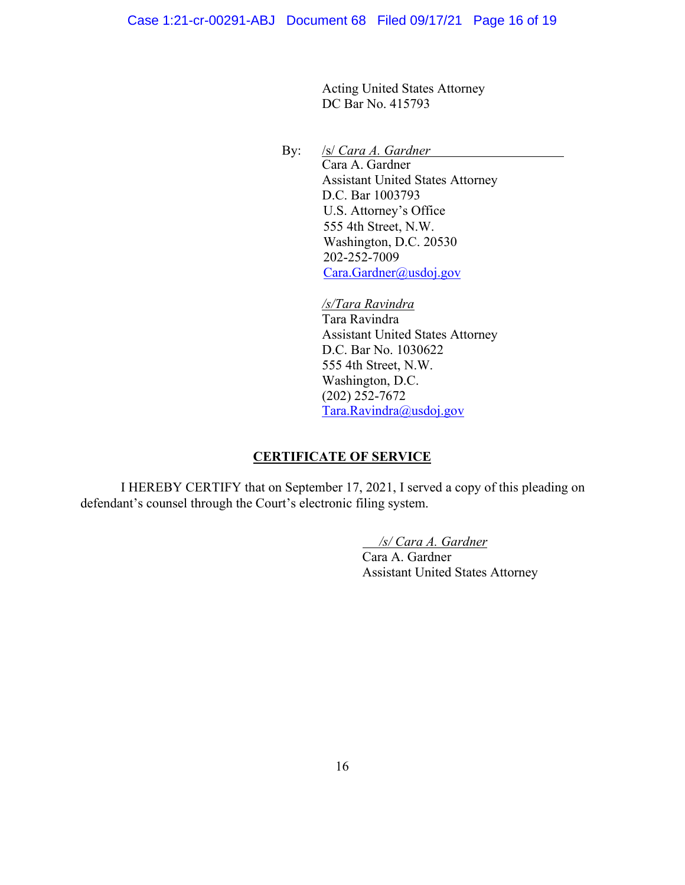Acting United States Attorney DC Bar No. 415793

By: /s/ *Cara A. Gardner* Cara A. Gardner Assistant United States Attorney D.C. Bar 1003793 U.S. Attorney's Office 555 4th Street, N.W. Washington, D.C. 20530 202-252-7009 Cara.Gardner@usdoj.gov

> */s/Tara Ravindra*  Tara Ravindra Assistant United States Attorney D.C. Bar No. 1030622 555 4th Street, N.W. Washington, D.C. (202) 252-7672 Tara.Ravindra@usdoj.gov

## **CERTIFICATE OF SERVICE**

I HEREBY CERTIFY that on September 17, 2021, I served a copy of this pleading on defendant's counsel through the Court's electronic filing system.

*/s/ Cara A. Gardner* 

Cara A. Gardner Assistant United States Attorney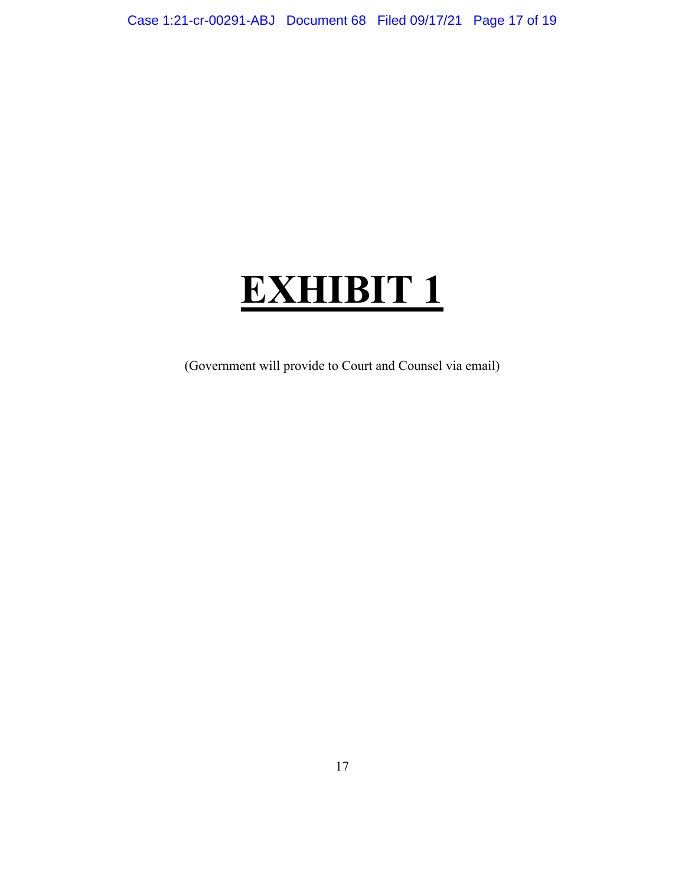# **EXHIBIT 1**

(Government will provide to Court and Counsel via email)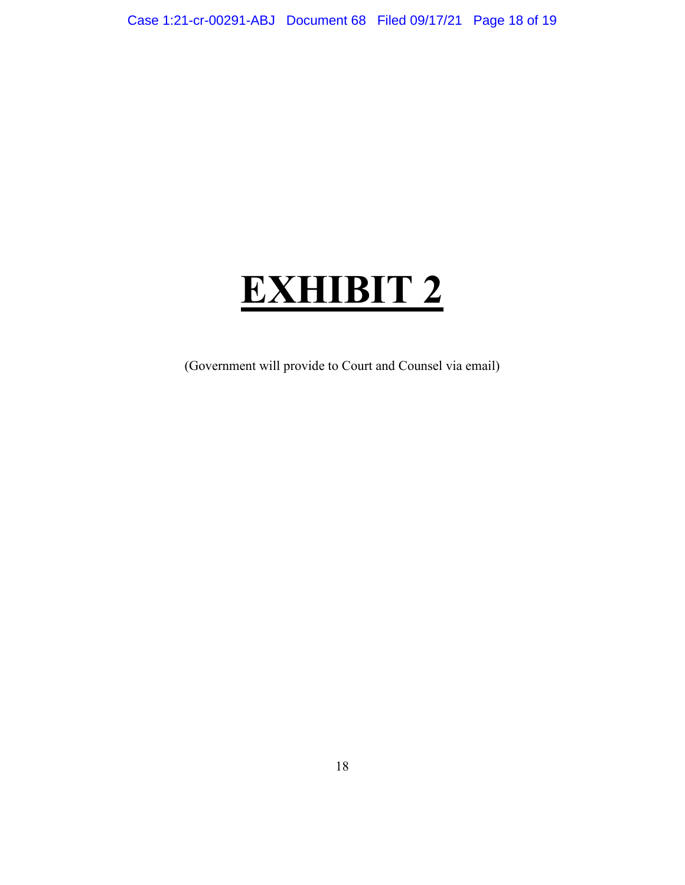# **EXHIBIT 2**

(Government will provide to Court and Counsel via email)